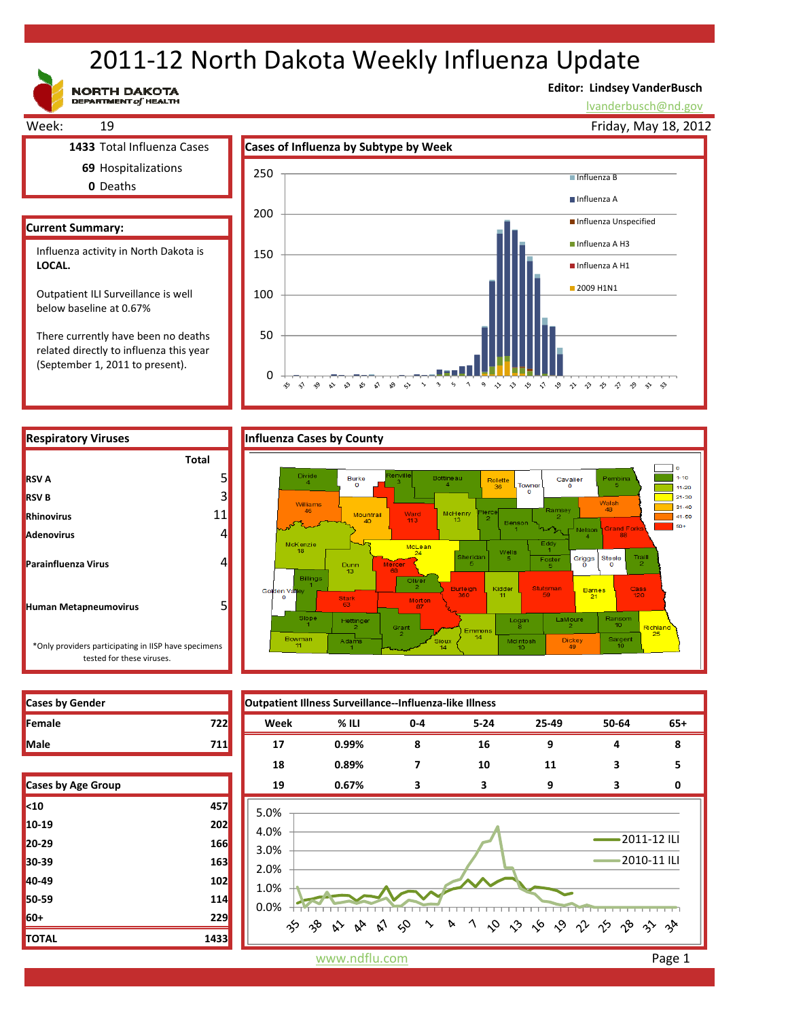# 2011‐12 North Dakota Weekly Influenza Update

**NORTH DAKOTA**<br>DEPARTMENT of HEALTH

### **Editor: Lindsey VanderBusch**

lvanderbusch@nd.gov



related directly to influenza this year (September 1, 2011 to present).

0



**Respiratory Viruses Influenza Cases by County Total RSV B Rhinovirus Adenovirus Parainfluenza Virus Human Metapneumovirus** \*Only providers participating in IISP have specimens tested for these viruses. **RSV A**

| Female      |  |
|-------------|--|
| <b>Male</b> |  |

| <b>Cases by Age Group</b> |      |
|---------------------------|------|
| $10$                      | 457  |
| 10-19                     | 202  |
| 20-29                     | 166  |
| 30-39                     | 163  |
| 40-49                     | 102  |
| 50-59                     | 114  |
| 60+                       | 229  |
| <b>TOTAL</b>              | 1433 |

**Cases by Gender Outpatient Illness Surveillance‐‐Influenza‐like Illness Female 722 Week % ILI 0‐4 5‐24 25‐49 50‐64 65+ Male 711 17 0.99% 8 16 9 4 8 18 0.89% 7 10 11 3 5 Cases by Age Group 19 0.67% 3 3 9 30** 5.0% 4.0% 2011‐12 ILI 3.0% 2010‐11 ILI 2.0% 1.0% 0.0%  $\Im$ 1 0 0 6 0 1 1 9 8 3 4 က် ကို  $\hat{\mathbf{v}}$  $\sim$ D  $\approx$ or

www.ndflu.com **Page 1**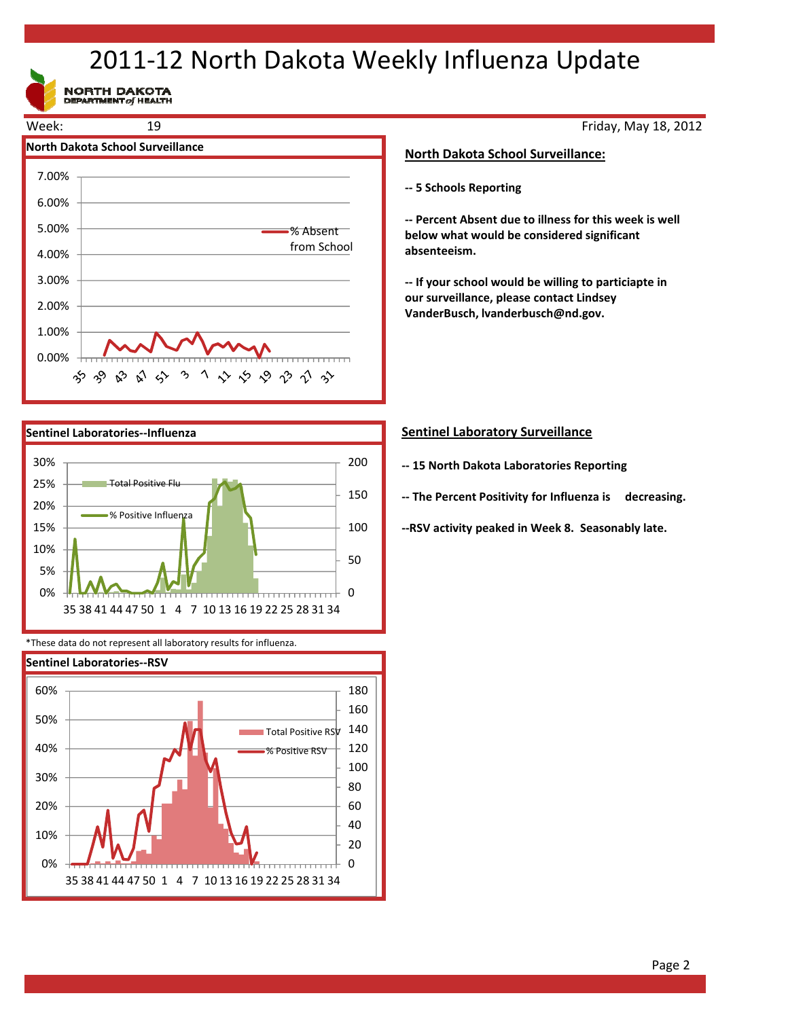## 2011‐12 North Dakota Weekly Influenza Update

NORTH DAKOTA





\*These data do not represent all laboratory results for influenza.



Friday, May 18, 2012

#### **North Dakota School Surveillance:**

**‐‐ 5 Schools Reporting**

**‐‐ Percent Absent due to illness for this week is well below what would be considered significant absenteeism.**

**‐‐ If your school would be willing to particiapte in our surveillance, please contact Lindsey VanderBusch, lvanderbusch@nd.gov.**

#### **Sentinel Laboratory Surveillance**

- **‐‐ 15 North Dakota Laboratories Reporting**
- **‐‐ The Percent Positivity for Influenza is decreasing.**

**‐‐RSV activity peaked in Week 8. Seasonably late.**